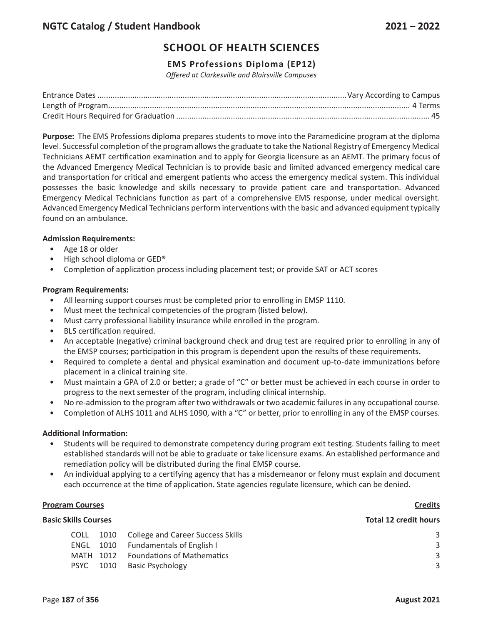# **SCHOOL OF HEALTH SCIENCES**

## **EMS Professions Diploma (EP12)**

*Offered at Clarkesville and Blairsville Campuses*

**Purpose:** The EMS Professions diploma prepares students to move into the Paramedicine program at the diploma level. Successful completion of the program allows the graduate to take the National Registry of Emergency Medical Technicians AEMT certification examination and to apply for Georgia licensure as an AEMT. The primary focus of the Advanced Emergency Medical Technician is to provide basic and limited advanced emergency medical care and transportation for critical and emergent patients who access the emergency medical system. This individual possesses the basic knowledge and skills necessary to provide patient care and transportation. Advanced Emergency Medical Technicians function as part of a comprehensive EMS response, under medical oversight. Advanced Emergency Medical Technicians perform interventions with the basic and advanced equipment typically found on an ambulance.

### **Admission Requirements:**

- Age 18 or older
- High school diploma or GED®
- Completion of application process including placement test; or provide SAT or ACT scores

#### **Program Requirements:**

- All learning support courses must be completed prior to enrolling in EMSP 1110.
- Must meet the technical competencies of the program (listed below).
- Must carry professional liability insurance while enrolled in the program.
- BLS certification required.
- An acceptable (negative) criminal background check and drug test are required prior to enrolling in any of the EMSP courses; participation in this program is dependent upon the results of these requirements.
- Required to complete a dental and physical examination and document up-to-date immunizations before placement in a clinical training site.
- Must maintain a GPA of 2.0 or better; a grade of "C" or better must be achieved in each course in order to progress to the next semester of the program, including clinical internship.
- No re-admission to the program after two withdrawals or two academic failures in any occupational course.
- Completion of ALHS 1011 and ALHS 1090, with a "C" or better, prior to enrolling in any of the EMSP courses.

#### **Additional Information:**

- Students will be required to demonstrate competency during program exit testing. Students failing to meet established standards will not be able to graduate or take licensure exams. An established performance and remediation policy will be distributed during the final EMSP course.
- An individual applying to a certifying agency that has a misdemeanor or felony must explain and document each occurrence at the time of application. State agencies regulate licensure, which can be denied.

#### **Program Courses Credits**

### **Basic Skills Courses Total 12 credit hours**

| <b>COLL</b> | 1010 College and Career Success Skills |  |
|-------------|----------------------------------------|--|
|             | ENGL 1010 Fundamentals of English I    |  |
| MATH 1012   | <b>Foundations of Mathematics</b>      |  |
| PSYC 1010   | <b>Basic Psychology</b>                |  |
|             |                                        |  |